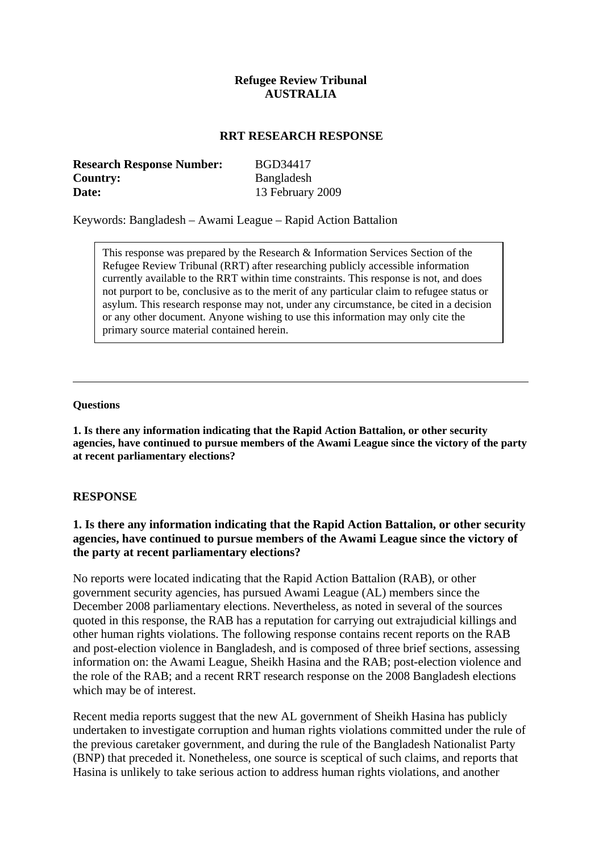## **Refugee Review Tribunal AUSTRALIA**

#### **RRT RESEARCH RESPONSE**

| <b>Research Response Number:</b> | BGD34417         |
|----------------------------------|------------------|
| Country:                         | Bangladesh       |
| Date:                            | 13 February 2009 |

Keywords: Bangladesh – Awami League – Rapid Action Battalion

This response was prepared by the Research & Information Services Section of the Refugee Review Tribunal (RRT) after researching publicly accessible information currently available to the RRT within time constraints. This response is not, and does not purport to be, conclusive as to the merit of any particular claim to refugee status or asylum. This research response may not, under any circumstance, be cited in a decision or any other document. Anyone wishing to use this information may only cite the primary source material contained herein.

#### **Questions**

**1. Is there any information indicating that the Rapid Action Battalion, or other security agencies, have continued to pursue members of the Awami League since the victory of the party at recent parliamentary elections?** 

#### **RESPONSE**

## **1. Is there any information indicating that the Rapid Action Battalion, or other security agencies, have continued to pursue members of the Awami League since the victory of the party at recent parliamentary elections?**

No reports were located indicating that the Rapid Action Battalion (RAB), or other government security agencies, has pursued Awami League (AL) members since the December 2008 parliamentary elections. Nevertheless, as noted in several of the sources quoted in this response, the RAB has a reputation for carrying out extrajudicial killings and other human rights violations. The following response contains recent reports on the RAB and post-election violence in Bangladesh, and is composed of three brief sections, assessing information on: the Awami League, Sheikh Hasina and the RAB; post-election violence and the role of the RAB; and a recent RRT research response on the 2008 Bangladesh elections which may be of interest.

Recent media reports suggest that the new AL government of Sheikh Hasina has publicly undertaken to investigate corruption and human rights violations committed under the rule of the previous caretaker government, and during the rule of the Bangladesh Nationalist Party (BNP) that preceded it. Nonetheless, one source is sceptical of such claims, and reports that Hasina is unlikely to take serious action to address human rights violations, and another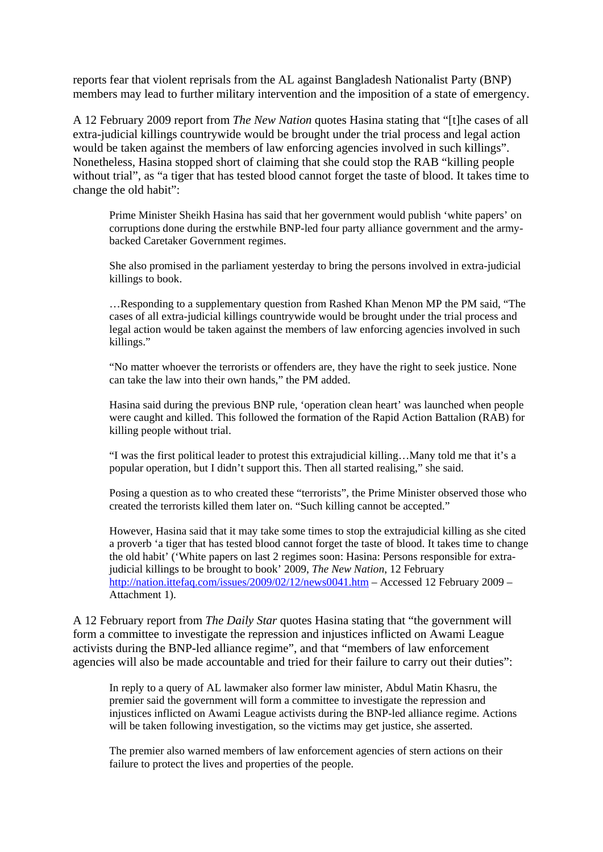reports fear that violent reprisals from the AL against Bangladesh Nationalist Party (BNP) members may lead to further military intervention and the imposition of a state of emergency.

A 12 February 2009 report from *The New Nation* quotes Hasina stating that "[t]he cases of all extra-judicial killings countrywide would be brought under the trial process and legal action would be taken against the members of law enforcing agencies involved in such killings". Nonetheless, Hasina stopped short of claiming that she could stop the RAB "killing people without trial", as "a tiger that has tested blood cannot forget the taste of blood. It takes time to change the old habit":

Prime Minister Sheikh Hasina has said that her government would publish 'white papers' on corruptions done during the erstwhile BNP-led four party alliance government and the armybacked Caretaker Government regimes.

She also promised in the parliament yesterday to bring the persons involved in extra-judicial killings to book.

…Responding to a supplementary question from Rashed Khan Menon MP the PM said, "The cases of all extra-judicial killings countrywide would be brought under the trial process and legal action would be taken against the members of law enforcing agencies involved in such killings."

"No matter whoever the terrorists or offenders are, they have the right to seek justice. None can take the law into their own hands," the PM added.

Hasina said during the previous BNP rule, 'operation clean heart' was launched when people were caught and killed. This followed the formation of the Rapid Action Battalion (RAB) for killing people without trial.

"I was the first political leader to protest this extrajudicial killing…Many told me that it's a popular operation, but I didn't support this. Then all started realising," she said.

Posing a question as to who created these "terrorists", the Prime Minister observed those who created the terrorists killed them later on. "Such killing cannot be accepted."

However, Hasina said that it may take some times to stop the extrajudicial killing as she cited a proverb 'a tiger that has tested blood cannot forget the taste of blood. It takes time to change the old habit' ('White papers on last 2 regimes soon: Hasina: Persons responsible for extrajudicial killings to be brought to book' 2009, *The New Nation*, 12 February <http://nation.ittefaq.com/issues/2009/02/12/news0041.htm> – Accessed 12 February 2009 – Attachment 1).

A 12 February report from *The Daily Star* quotes Hasina stating that "the government will form a committee to investigate the repression and injustices inflicted on Awami League activists during the BNP-led alliance regime", and that "members of law enforcement agencies will also be made accountable and tried for their failure to carry out their duties":

In reply to a query of AL lawmaker also former law minister, Abdul Matin Khasru, the premier said the government will form a committee to investigate the repression and injustices inflicted on Awami League activists during the BNP-led alliance regime. Actions will be taken following investigation, so the victims may get justice, she asserted.

The premier also warned members of law enforcement agencies of stern actions on their failure to protect the lives and properties of the people.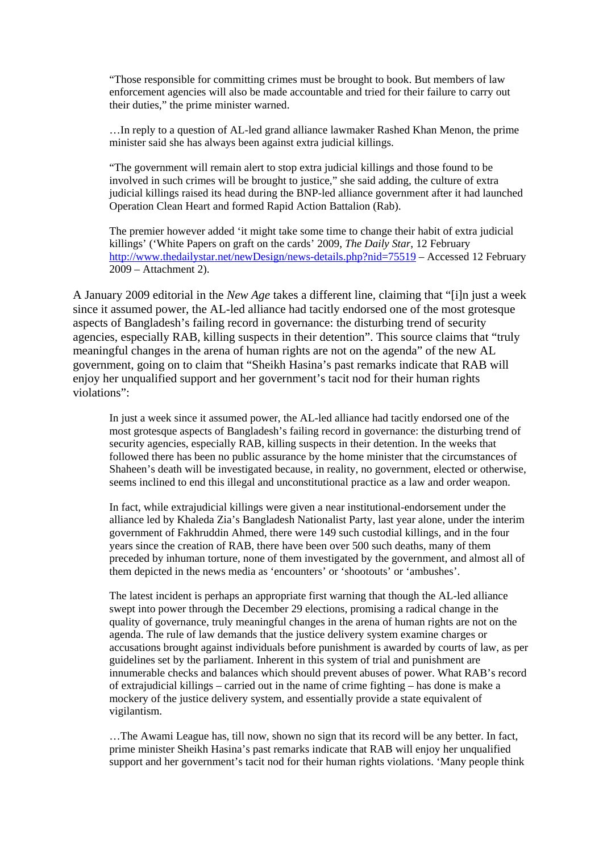"Those responsible for committing crimes must be brought to book. But members of law enforcement agencies will also be made accountable and tried for their failure to carry out their duties," the prime minister warned.

…In reply to a question of AL-led grand alliance lawmaker Rashed Khan Menon, the prime minister said she has always been against extra judicial killings.

"The government will remain alert to stop extra judicial killings and those found to be involved in such crimes will be brought to justice," she said adding, the culture of extra judicial killings raised its head during the BNP-led alliance government after it had launched Operation Clean Heart and formed Rapid Action Battalion (Rab).

The premier however added 'it might take some time to change their habit of extra judicial killings' ('White Papers on graft on the cards' 2009, *The Daily Star*, 12 February <http://www.thedailystar.net/newDesign/news-details.php?nid=75519>– Accessed 12 February 2009 – Attachment 2).

A January 2009 editorial in the *New Age* takes a different line, claiming that "[i]n just a week since it assumed power, the AL-led alliance had tacitly endorsed one of the most grotesque aspects of Bangladesh's failing record in governance: the disturbing trend of security agencies, especially RAB, killing suspects in their detention". This source claims that "truly meaningful changes in the arena of human rights are not on the agenda" of the new AL government, going on to claim that "Sheikh Hasina's past remarks indicate that RAB will enjoy her unqualified support and her government's tacit nod for their human rights violations":

In just a week since it assumed power, the AL-led alliance had tacitly endorsed one of the most grotesque aspects of Bangladesh's failing record in governance: the disturbing trend of security agencies, especially RAB, killing suspects in their detention. In the weeks that followed there has been no public assurance by the home minister that the circumstances of Shaheen's death will be investigated because, in reality, no government, elected or otherwise, seems inclined to end this illegal and unconstitutional practice as a law and order weapon.

In fact, while extrajudicial killings were given a near institutional-endorsement under the alliance led by Khaleda Zia's Bangladesh Nationalist Party, last year alone, under the interim government of Fakhruddin Ahmed, there were 149 such custodial killings, and in the four years since the creation of RAB, there have been over 500 such deaths, many of them preceded by inhuman torture, none of them investigated by the government, and almost all of them depicted in the news media as 'encounters' or 'shootouts' or 'ambushes'.

The latest incident is perhaps an appropriate first warning that though the AL-led alliance swept into power through the December 29 elections, promising a radical change in the quality of governance, truly meaningful changes in the arena of human rights are not on the agenda. The rule of law demands that the justice delivery system examine charges or accusations brought against individuals before punishment is awarded by courts of law, as per guidelines set by the parliament. Inherent in this system of trial and punishment are innumerable checks and balances which should prevent abuses of power. What RAB's record of extrajudicial killings – carried out in the name of crime fighting – has done is make a mockery of the justice delivery system, and essentially provide a state equivalent of vigilantism.

…The Awami League has, till now, shown no sign that its record will be any better. In fact, prime minister Sheikh Hasina's past remarks indicate that RAB will enjoy her unqualified support and her government's tacit nod for their human rights violations. 'Many people think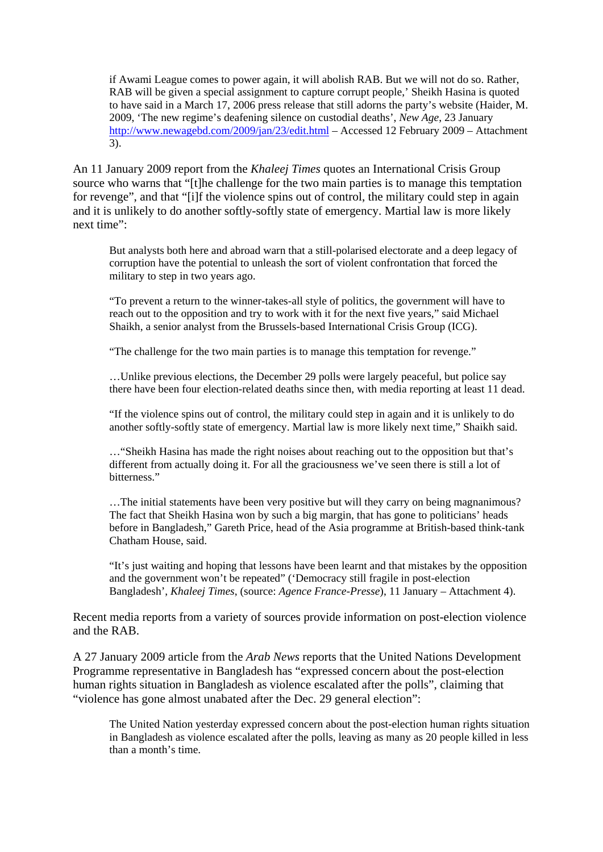if Awami League comes to power again, it will abolish RAB. But we will not do so. Rather, RAB will be given a special assignment to capture corrupt people,' Sheikh Hasina is quoted to have said in a March 17, 2006 press release that still adorns the party's website (Haider, M. 2009, 'The new regime's deafening silence on custodial deaths', *New Age*, 23 January <http://www.newagebd.com/2009/jan/23/edit.html> – Accessed 12 February 2009 – Attachment 3).

An 11 January 2009 report from the *Khaleej Times* quotes an International Crisis Group source who warns that "[t]he challenge for the two main parties is to manage this temptation for revenge", and that "[i]f the violence spins out of control, the military could step in again and it is unlikely to do another softly-softly state of emergency. Martial law is more likely next time":

But analysts both here and abroad warn that a still-polarised electorate and a deep legacy of corruption have the potential to unleash the sort of violent confrontation that forced the military to step in two years ago.

"To prevent a return to the winner-takes-all style of politics, the government will have to reach out to the opposition and try to work with it for the next five years," said Michael Shaikh, a senior analyst from the Brussels-based International Crisis Group (ICG).

"The challenge for the two main parties is to manage this temptation for revenge."

…Unlike previous elections, the December 29 polls were largely peaceful, but police say there have been four election-related deaths since then, with media reporting at least 11 dead.

"If the violence spins out of control, the military could step in again and it is unlikely to do another softly-softly state of emergency. Martial law is more likely next time," Shaikh said.

…"Sheikh Hasina has made the right noises about reaching out to the opposition but that's different from actually doing it. For all the graciousness we've seen there is still a lot of bitterness."

…The initial statements have been very positive but will they carry on being magnanimous? The fact that Sheikh Hasina won by such a big margin, that has gone to politicians' heads before in Bangladesh," Gareth Price, head of the Asia programme at British-based think-tank Chatham House, said.

"It's just waiting and hoping that lessons have been learnt and that mistakes by the opposition and the government won't be repeated" ('Democracy still fragile in post-election Bangladesh', *Khaleej Times*, (source: *Agence France-Presse*), 11 January – Attachment 4).

Recent media reports from a variety of sources provide information on post-election violence and the RAB.

A 27 January 2009 article from the *Arab News* reports that the United Nations Development Programme representative in Bangladesh has "expressed concern about the post-election human rights situation in Bangladesh as violence escalated after the polls", claiming that "violence has gone almost unabated after the Dec. 29 general election":

The United Nation yesterday expressed concern about the post-election human rights situation in Bangladesh as violence escalated after the polls, leaving as many as 20 people killed in less than a month's time.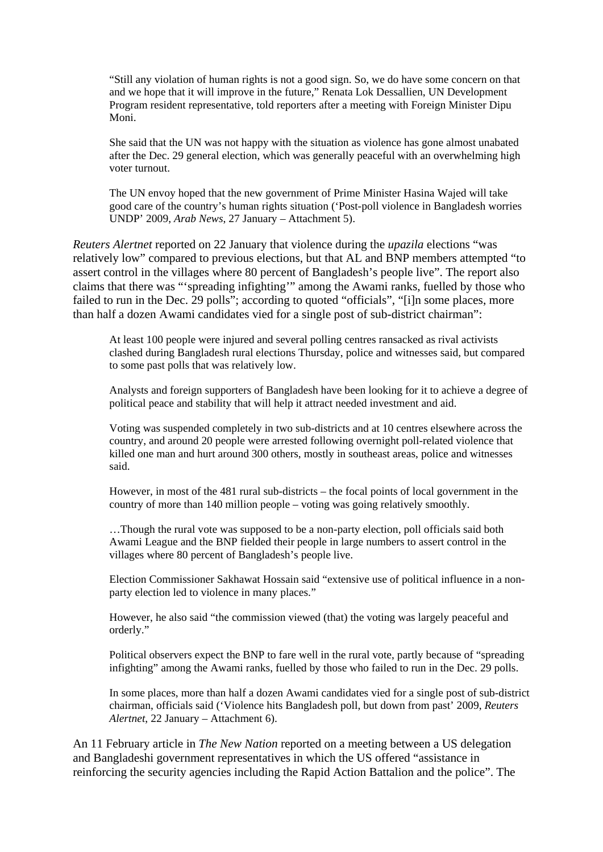"Still any violation of human rights is not a good sign. So, we do have some concern on that and we hope that it will improve in the future," Renata Lok Dessallien, UN Development Program resident representative, told reporters after a meeting with Foreign Minister Dipu Moni.

She said that the UN was not happy with the situation as violence has gone almost unabated after the Dec. 29 general election, which was generally peaceful with an overwhelming high voter turnout.

The UN envoy hoped that the new government of Prime Minister Hasina Wajed will take good care of the country's human rights situation ('Post-poll violence in Bangladesh worries UNDP' 2009, *Arab News*, 27 January – Attachment 5).

*Reuters Alertnet* reported on 22 January that violence during the *upazila* elections "was relatively low" compared to previous elections, but that AL and BNP members attempted "to assert control in the villages where 80 percent of Bangladesh's people live". The report also claims that there was "'spreading infighting'" among the Awami ranks, fuelled by those who failed to run in the Dec. 29 polls"; according to quoted "officials", "[i]n some places, more than half a dozen Awami candidates vied for a single post of sub-district chairman":

At least 100 people were injured and several polling centres ransacked as rival activists clashed during Bangladesh rural elections Thursday, police and witnesses said, but compared to some past polls that was relatively low.

Analysts and foreign supporters of Bangladesh have been looking for it to achieve a degree of political peace and stability that will help it attract needed investment and aid.

Voting was suspended completely in two sub-districts and at 10 centres elsewhere across the country, and around 20 people were arrested following overnight poll-related violence that killed one man and hurt around 300 others, mostly in southeast areas, police and witnesses said.

However, in most of the 481 rural sub-districts – the focal points of local government in the country of more than 140 million people – voting was going relatively smoothly.

…Though the rural vote was supposed to be a non-party election, poll officials said both Awami League and the BNP fielded their people in large numbers to assert control in the villages where 80 percent of Bangladesh's people live.

Election Commissioner Sakhawat Hossain said "extensive use of political influence in a nonparty election led to violence in many places."

However, he also said "the commission viewed (that) the voting was largely peaceful and orderly."

Political observers expect the BNP to fare well in the rural vote, partly because of "spreading infighting" among the Awami ranks, fuelled by those who failed to run in the Dec. 29 polls.

In some places, more than half a dozen Awami candidates vied for a single post of sub-district chairman, officials said ('Violence hits Bangladesh poll, but down from past' 2009, *Reuters Alertnet*, 22 January – Attachment 6).

An 11 February article in *The New Nation* reported on a meeting between a US delegation and Bangladeshi government representatives in which the US offered "assistance in reinforcing the security agencies including the Rapid Action Battalion and the police". The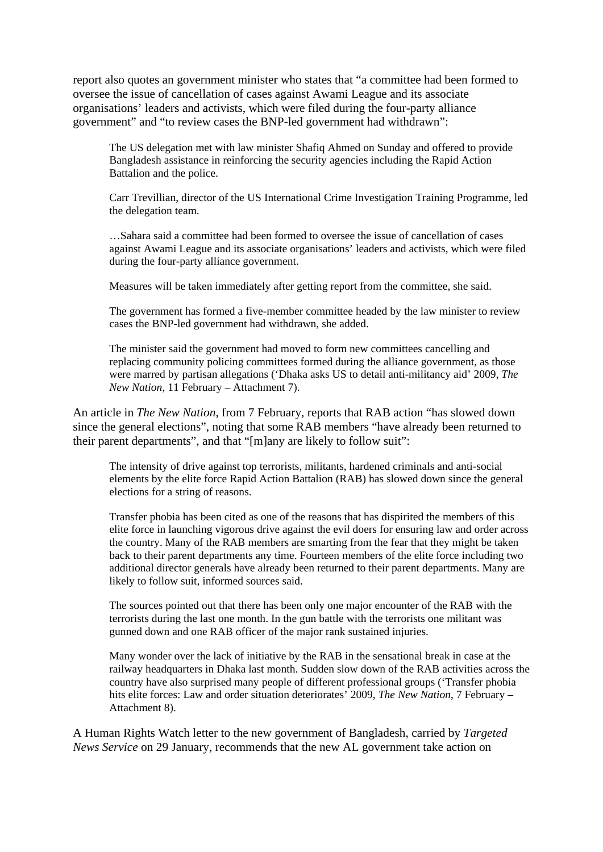report also quotes an government minister who states that "a committee had been formed to oversee the issue of cancellation of cases against Awami League and its associate organisations' leaders and activists, which were filed during the four-party alliance government" and "to review cases the BNP-led government had withdrawn":

The US delegation met with law minister Shafiq Ahmed on Sunday and offered to provide Bangladesh assistance in reinforcing the security agencies including the Rapid Action Battalion and the police.

Carr Trevillian, director of the US International Crime Investigation Training Programme, led the delegation team.

…Sahara said a committee had been formed to oversee the issue of cancellation of cases against Awami League and its associate organisations' leaders and activists, which were filed during the four-party alliance government.

Measures will be taken immediately after getting report from the committee, she said.

The government has formed a five-member committee headed by the law minister to review cases the BNP-led government had withdrawn, she added.

The minister said the government had moved to form new committees cancelling and replacing community policing committees formed during the alliance government, as those were marred by partisan allegations ('Dhaka asks US to detail anti-militancy aid' 2009, *The New Nation*, 11 February – Attachment 7).

An article in *The New Nation*, from 7 February, reports that RAB action "has slowed down since the general elections", noting that some RAB members "have already been returned to their parent departments", and that "[m]any are likely to follow suit":

The intensity of drive against top terrorists, militants, hardened criminals and anti-social elements by the elite force Rapid Action Battalion (RAB) has slowed down since the general elections for a string of reasons.

Transfer phobia has been cited as one of the reasons that has dispirited the members of this elite force in launching vigorous drive against the evil doers for ensuring law and order across the country. Many of the RAB members are smarting from the fear that they might be taken back to their parent departments any time. Fourteen members of the elite force including two additional director generals have already been returned to their parent departments. Many are likely to follow suit, informed sources said.

The sources pointed out that there has been only one major encounter of the RAB with the terrorists during the last one month. In the gun battle with the terrorists one militant was gunned down and one RAB officer of the major rank sustained injuries.

Many wonder over the lack of initiative by the RAB in the sensational break in case at the railway headquarters in Dhaka last month. Sudden slow down of the RAB activities across the country have also surprised many people of different professional groups ('Transfer phobia hits elite forces: Law and order situation deteriorates' 2009, *The New Nation*, 7 February – Attachment 8).

A Human Rights Watch letter to the new government of Bangladesh, carried by *Targeted News Service* on 29 January, recommends that the new AL government take action on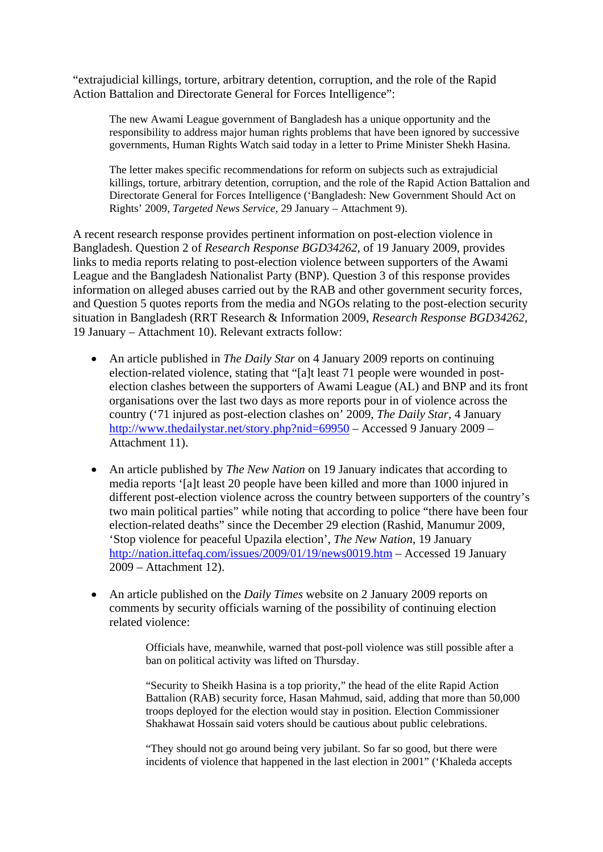"extrajudicial killings, torture, arbitrary detention, corruption, and the role of the Rapid Action Battalion and Directorate General for Forces Intelligence":

The new Awami League government of Bangladesh has a unique opportunity and the responsibility to address major human rights problems that have been ignored by successive governments, Human Rights Watch said today in a letter to Prime Minister Shekh Hasina.

The letter makes specific recommendations for reform on subjects such as extrajudicial killings, torture, arbitrary detention, corruption, and the role of the Rapid Action Battalion and Directorate General for Forces Intelligence ('Bangladesh: New Government Should Act on Rights' 2009, *Targeted News Service*, 29 January – Attachment 9).

A recent research response provides pertinent information on post-election violence in Bangladesh. Question 2 of *Research Response BGD34262*, of 19 January 2009, provides links to media reports relating to post-election violence between supporters of the Awami League and the Bangladesh Nationalist Party (BNP). Question 3 of this response provides information on alleged abuses carried out by the RAB and other government security forces, and Question 5 quotes reports from the media and NGOs relating to the post-election security situation in Bangladesh (RRT Research & Information 2009, *Research Response BGD34262*, 19 January – Attachment 10). Relevant extracts follow:

- An article published in *The Daily Star* on 4 January 2009 reports on continuing election-related violence, stating that "[a]t least 71 people were wounded in postelection clashes between the supporters of Awami League (AL) and BNP and its front organisations over the last two days as more reports pour in of violence across the country ('71 injured as post-election clashes on' 2009, *The Daily Star*, 4 January <http://www.thedailystar.net/story.php?nid=69950> – Accessed 9 January 2009 – Attachment 11).
- An article published by *The New Nation* on 19 January indicates that according to media reports '[a]t least 20 people have been killed and more than 1000 injured in different post-election violence across the country between supporters of the country's two main political parties" while noting that according to police "there have been four election-related deaths" since the December 29 election (Rashid, Manumur 2009, 'Stop violence for peaceful Upazila election', *The New Nation*, 19 January <http://nation.ittefaq.com/issues/2009/01/19/news0019.htm>– Accessed 19 January 2009 – Attachment 12).
- An article published on the *Daily Times* website on 2 January 2009 reports on comments by security officials warning of the possibility of continuing election related violence:

Officials have, meanwhile, warned that post-poll violence was still possible after a ban on political activity was lifted on Thursday.

"Security to Sheikh Hasina is a top priority," the head of the elite Rapid Action Battalion (RAB) security force, Hasan Mahmud, said, adding that more than 50,000 troops deployed for the election would stay in position. Election Commissioner Shakhawat Hossain said voters should be cautious about public celebrations.

"They should not go around being very jubilant. So far so good, but there were incidents of violence that happened in the last election in 2001" ('Khaleda accepts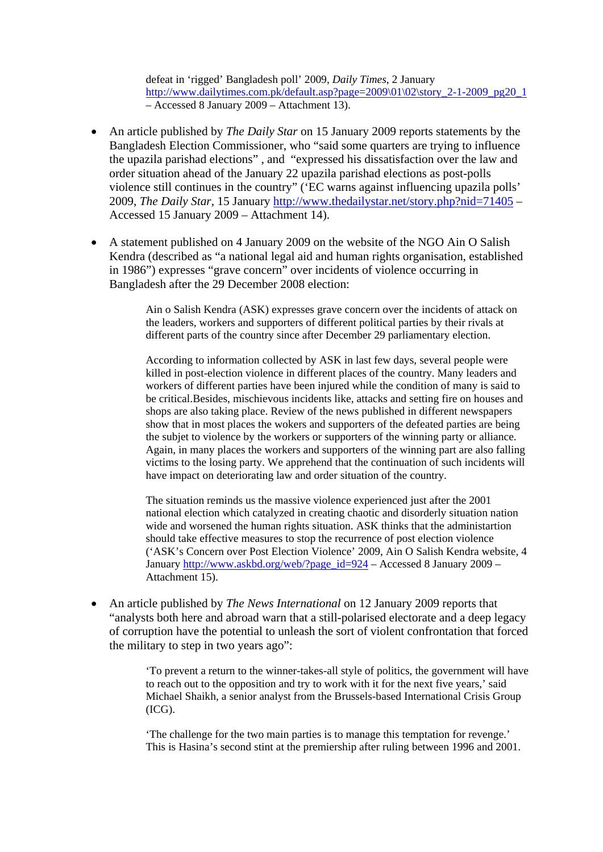defeat in 'rigged' Bangladesh poll' 2009, *Daily Times*, 2 January [http://www.dailytimes.com.pk/default.asp?page=2009\01\02\story\\_2-1-2009\\_pg20\\_1](http://www.dailytimes.com.pk/default.asp?page=2009%5C01%5C02%5Cstory_2-1-2009_pg20_1) – Accessed 8 January 2009 – Attachment 13).

- An article published by *The Daily Star* on 15 January 2009 reports statements by the Bangladesh Election Commissioner, who "said some quarters are trying to influence the upazila parishad elections" , and "expressed his dissatisfaction over the law and order situation ahead of the January 22 upazila parishad elections as post-polls violence still continues in the country" ('EC warns against influencing upazila polls' 2009, *The Daily Star*, 15 January<http://www.thedailystar.net/story.php?nid=71405>– Accessed 15 January 2009 – Attachment 14).
- A statement published on 4 January 2009 on the website of the NGO Ain O Salish Kendra (described as "a national legal aid and human rights organisation, established in 1986") expresses "grave concern" over incidents of violence occurring in Bangladesh after the 29 December 2008 election:

Ain o Salish Kendra (ASK) expresses grave concern over the incidents of attack on the leaders, workers and supporters of different political parties by their rivals at different parts of the country since after December 29 parliamentary election.

According to information collected by ASK in last few days, several people were killed in post-election violence in different places of the country. Many leaders and workers of different parties have been injured while the condition of many is said to be critical.Besides, mischievous incidents like, attacks and setting fire on houses and shops are also taking place. Review of the news published in different newspapers show that in most places the wokers and supporters of the defeated parties are being the subjet to violence by the workers or supporters of the winning party or alliance. Again, in many places the workers and supporters of the winning part are also falling victims to the losing party. We apprehend that the continuation of such incidents will have impact on deteriorating law and order situation of the country.

The situation reminds us the massive violence experienced just after the 2001 national election which catalyzed in creating chaotic and disorderly situation nation wide and worsened the human rights situation. ASK thinks that the administartion should take effective measures to stop the recurrence of post election violence ('ASK's Concern over Post Election Violence' 2009, Ain O Salish Kendra website, 4 January [http://www.askbd.org/web/?page\\_id=924](http://www.askbd.org/web/?page_id=924) – Accessed 8 January 2009 – Attachment 15).

• An article published by *The News International* on 12 January 2009 reports that "analysts both here and abroad warn that a still-polarised electorate and a deep legacy of corruption have the potential to unleash the sort of violent confrontation that forced the military to step in two years ago":

> 'To prevent a return to the winner-takes-all style of politics, the government will have to reach out to the opposition and try to work with it for the next five years,' said Michael Shaikh, a senior analyst from the Brussels-based International Crisis Group (ICG).

'The challenge for the two main parties is to manage this temptation for revenge.' This is Hasina's second stint at the premiership after ruling between 1996 and 2001.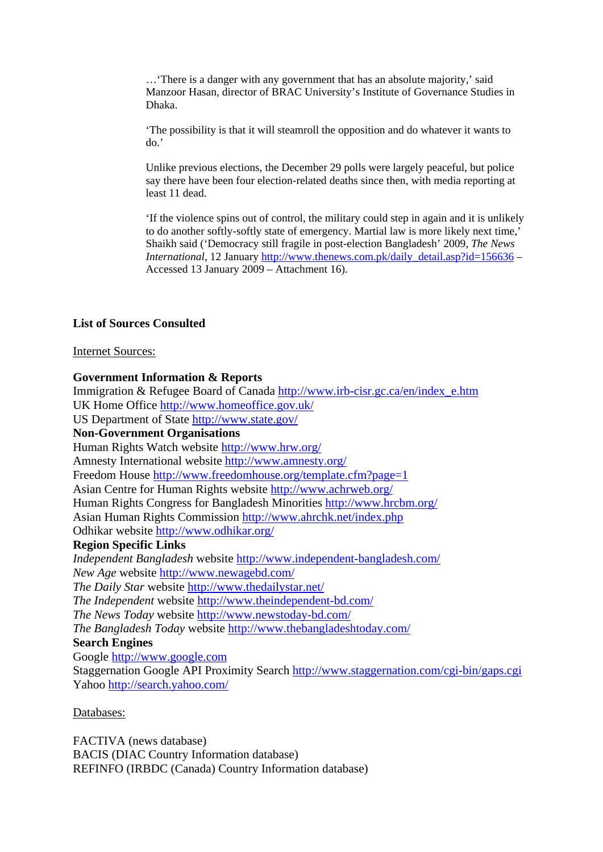…'There is a danger with any government that has an absolute majority,' said Manzoor Hasan, director of BRAC University's Institute of Governance Studies in Dhaka.

'The possibility is that it will steamroll the opposition and do whatever it wants to do.'

Unlike previous elections, the December 29 polls were largely peaceful, but police say there have been four election-related deaths since then, with media reporting at least 11 dead.

'If the violence spins out of control, the military could step in again and it is unlikely to do another softly-softly state of emergency. Martial law is more likely next time,' Shaikh said ('Democracy still fragile in post-election Bangladesh' 2009, *The News International*, 12 January [http://www.thenews.com.pk/daily\\_detail.asp?id=156636](http://www.thenews.com.pk/daily_detail.asp?id=156636) – Accessed 13 January 2009 – Attachment 16).

### **List of Sources Consulted**

#### Internet Sources:

### **Government Information & Reports**

Immigration & Refugee Board of Canada [http://www.irb-cisr.gc.ca/en/index\\_e.htm](http://www.irb-cisr.gc.ca/en/index_e.htm)  UK Home Office<http://www.homeoffice.gov.uk/> US Department of State<http://www.state.gov/> **Non-Government Organisations**  Human Rights Watch website <http://www.hrw.org/> Amnesty International website<http://www.amnesty.org/> Freedom House<http://www.freedomhouse.org/template.cfm?page=1> Asian Centre for Human Rights website<http://www.achrweb.org/> Human Rights Congress for Bangladesh Minorities<http://www.hrcbm.org/> Asian Human Rights Commission<http://www.ahrchk.net/index.php> Odhikar website<http://www.odhikar.org/> **Region Specific Links** *Independent Bangladesh* website <http://www.independent-bangladesh.com/> *New Age* website <http://www.newagebd.com/> *The Daily Star* website<http://www.thedailystar.net/> *The Independent* website <http://www.theindependent-bd.com/> *The News Today* website <http://www.newstoday-bd.com/> *The Bangladesh Today* website<http://www.thebangladeshtoday.com/> **Search Engines**  Google [http://www.google.com](http://www.google.com/) Staggernation Google API Proximity Search<http://www.staggernation.com/cgi-bin/gaps.cgi> Yahoo http://search.yahoo.com/

Databases:

FACTIVA (news database) BACIS (DIAC Country Information database) REFINFO (IRBDC (Canada) Country Information database)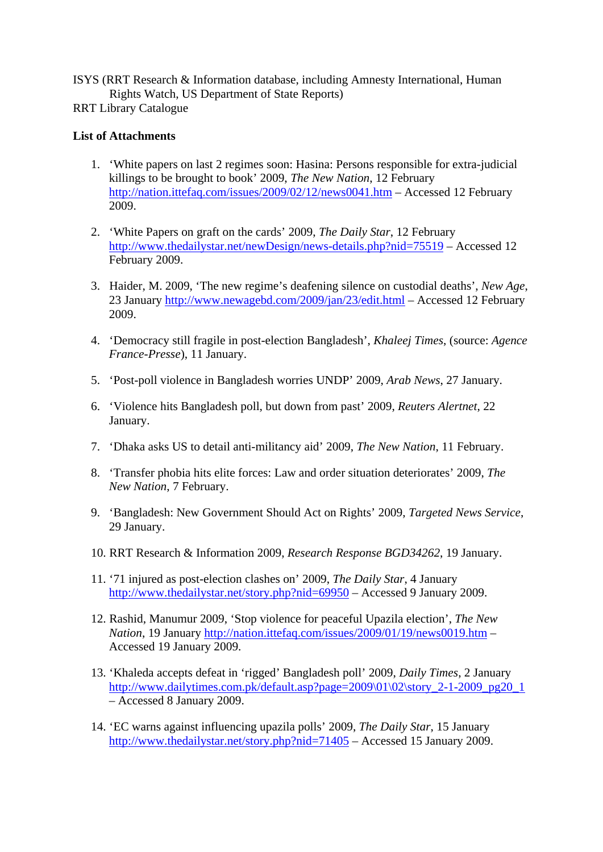ISYS (RRT Research & Information database, including Amnesty International, Human Rights Watch, US Department of State Reports)

RRT Library Catalogue

# **List of Attachments**

- 1. 'White papers on last 2 regimes soon: Hasina: Persons responsible for extra-judicial killings to be brought to book' 2009, *The New Nation*, 12 February <http://nation.ittefaq.com/issues/2009/02/12/news0041.htm> – Accessed 12 February 2009.
- 2. 'White Papers on graft on the cards' 2009, *The Daily Star*, 12 February <http://www.thedailystar.net/newDesign/news-details.php?nid=75519> – Accessed 12 February 2009.
- 3. Haider, M. 2009, 'The new regime's deafening silence on custodial deaths', *New Age*, 23 January<http://www.newagebd.com/2009/jan/23/edit.html>– Accessed 12 February 2009.
- 4. 'Democracy still fragile in post-election Bangladesh', *Khaleej Times*, (source: *Agence France-Presse*), 11 January.
- 5. 'Post-poll violence in Bangladesh worries UNDP' 2009, *Arab News*, 27 January.
- 6. 'Violence hits Bangladesh poll, but down from past' 2009, *Reuters Alertnet*, 22 January.
- 7. 'Dhaka asks US to detail anti-militancy aid' 2009, *The New Nation*, 11 February.
- 8. 'Transfer phobia hits elite forces: Law and order situation deteriorates' 2009, *The New Nation*, 7 February.
- 9. 'Bangladesh: New Government Should Act on Rights' 2009, *Targeted News Service*, 29 January.
- 10. RRT Research & Information 2009, *Research Response BGD34262*, 19 January.
- 11. '71 injured as post-election clashes on' 2009, *The Daily Star*, 4 January <http://www.thedailystar.net/story.php?nid=69950>– Accessed 9 January 2009.
- 12. Rashid, Manumur 2009, 'Stop violence for peaceful Upazila election', *The New Nation*, 19 January <http://nation.ittefaq.com/issues/2009/01/19/news0019.htm> – Accessed 19 January 2009.
- 13. 'Khaleda accepts defeat in 'rigged' Bangladesh poll' 2009, *Daily Times*, 2 January [http://www.dailytimes.com.pk/default.asp?page=2009\01\02\story\\_2-1-2009\\_pg20\\_1](http://www.dailytimes.com.pk/default.asp?page=2009%5C01%5C02%5Cstory_2-1-2009_pg20_1)\_ – Accessed 8 January 2009.
- 14. 'EC warns against influencing upazila polls' 2009, *The Daily Star*, 15 January <http://www.thedailystar.net/story.php?nid=71405>– Accessed 15 January 2009.